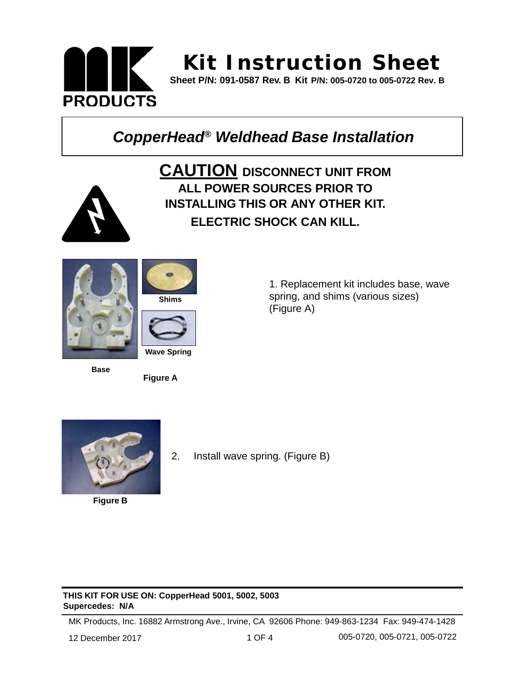

# **Ki t Instruct ion Sheet**

**Sheet P/N: 091-0587 Rev. B Kit P/N: 005-0720 to 005-0722 Rev. B**

## *CopperHead® Weldhead Base Installation*



**CAUTION DISCONNECT UNIT FROM ALL POWER SOURCES PRIOR TO INSTALLING THIS OR ANY OTHER KIT. ELECTRIC SHOCK CAN KILL.**



**Base**



**Figure A**

1. Replacement kit includes base, wave spring, and shims (various sizes) (Figure A)



**Figure B**

2. Install wave spring. (Figure B)

#### **THIS KIT FOR USE ON: CopperHead 5001, 5002, 5003 Supercedes: N/A**

MK Products, Inc. 16882 Armstrong Ave., Irvine, CA 92606 Phone: 949-863-1234 Fax: 949-474-1428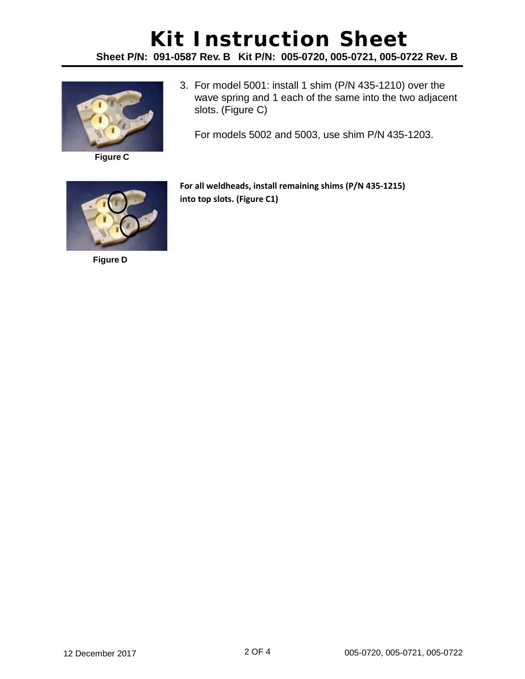### **Kit Instruction Sheet Sheet P/N: 091-0587 Rev. B Kit P/N: 005-0720, 005-0721, 005-0722 Rev. B**



**Figure C**

3. For model 5001: install 1 shim (P/N 435-1210) over the wave spring and 1 each of the same into the two adjacent slots. (Figure C)

For models 5002 and 5003, use shim P/N 435-1203.



**Figure D**

**For all weldheads, install remaining shims (P/N 435-1215) into top slots. (Figure C1)**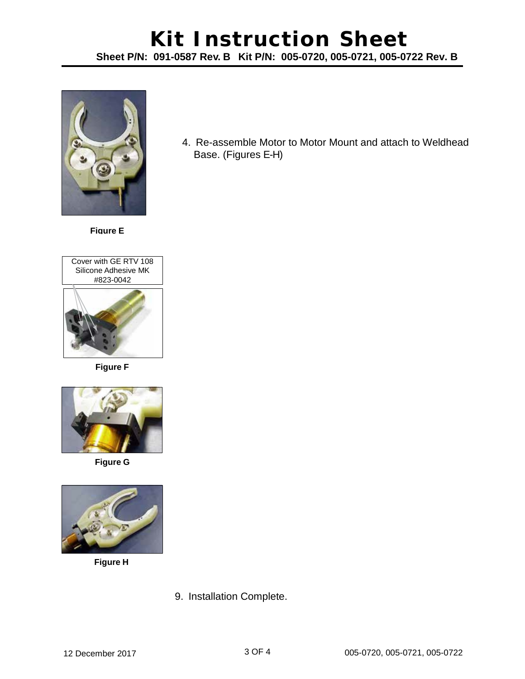#### **Kit Instruction Sheet Sheet P/N: 091-0587 Rev. B Kit P/N: 005-0720, 005-0721, 005-0722 Rev. B**



**Figure E**



**Figure F**



**Figure G**



**Figure H**

4. Re-assemble Motor to Motor Mount and attach to Weldhead Base. (Figures E-H)

9. Installation Complete.